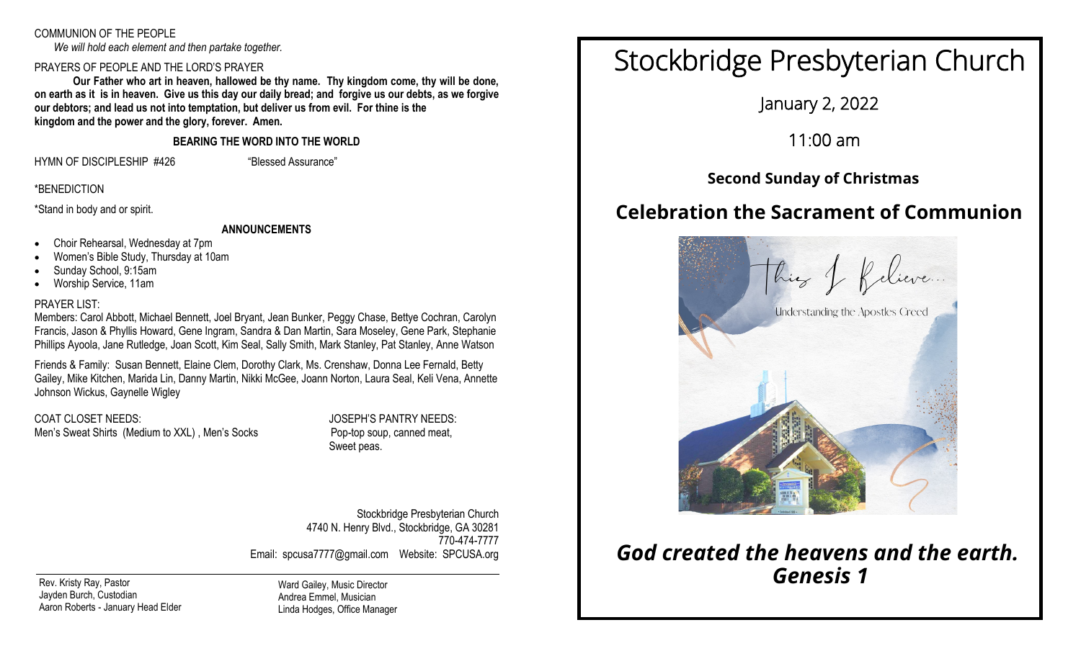# COMMUNION OF THE PEOPLE

*We will hold each element and then partake together.*

# PRAYERS OF PEOPLE AND THE LORD'S PRAYER

**Our Father who art in heaven, hallowed be thy name. Thy kingdom come, thy will be done, on earth as it is in heaven. Give us this day our daily bread; and forgive us our debts, as we forgive our debtors; and lead us not into temptation, but deliver us from evil. For thine is the kingdom and the power and the glory, forever. Amen.**

**BEARING THE WORD INTO THE WORLD**

HYMN OF DISCIPLESHIP #426 "Blessed Assurance"

\*BENEDICTION

\*Stand in body and or spirit.

# **ANNOUNCEMENTS**

- Choir Rehearsal, Wednesday at 7pm
- Women's Bible Study, Thursday at 10am
- Sunday School, 9:15am
- Worship Service, 11am

# PRAYER LIST:

Members: Carol Abbott, Michael Bennett, Joel Bryant, Jean Bunker, Peggy Chase, Bettye Cochran, Carolyn Francis, Jason & Phyllis Howard, Gene Ingram, Sandra & Dan Martin, Sara Moseley, Gene Park, Stephanie Phillips Ayoola, Jane Rutledge, Joan Scott, Kim Seal, Sally Smith, Mark Stanley, Pat Stanley, Anne Watson

Friends & Family: Susan Bennett, Elaine Clem, Dorothy Clark, Ms. Crenshaw, Donna Lee Fernald, Betty Gailey, Mike Kitchen, Marida Lin, Danny Martin, Nikki McGee, Joann Norton, Laura Seal, Keli Vena, Annette Johnson Wickus, Gaynelle Wigley

COAT CLOSET NEEDS: JOSEPH'S PANTRY NEEDS: Men's Sweat Shirts (Medium to XXL), Men's Socks Pop-top soup, canned meat,

Sweet peas.

Stockbridge Presbyterian Church 4740 N. Henry Blvd., Stockbridge, GA 30281 770-474-7777 Email: spcusa7777@gmail.com Website: SPCUSA.org

Rev. Kristy Ray, Pastor Jayden Burch, Custodian Aaron Roberts - January Head Elder Ward Gailey, Music Director Andrea Emmel, Musician Linda Hodges, Office Manager

# Stockbridge Presbyterian Church

January 2, 2022

11:00 am

# **Second Sunday of Christmas**

# **Celebration the Sacrament of Communion**



# *God created the heavens and the earth. Genesis 1*